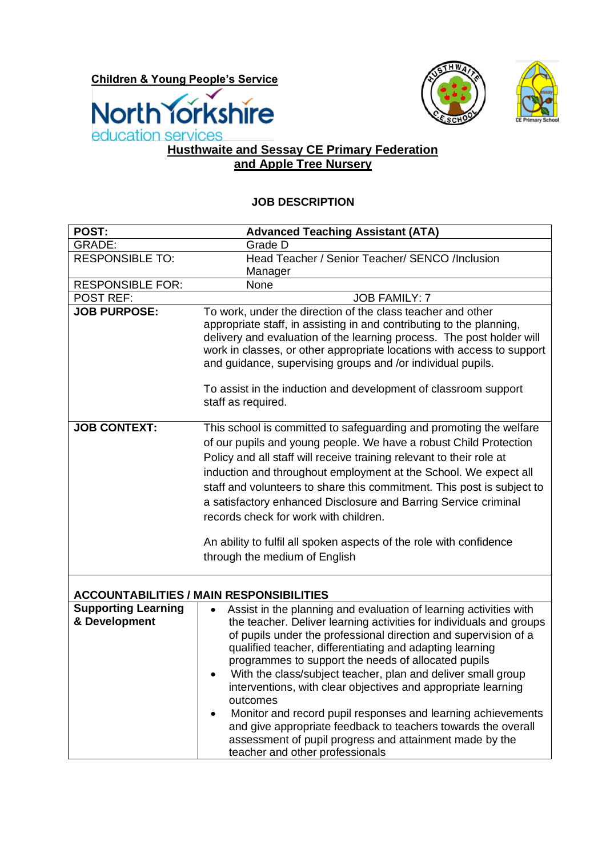**Children & Young People's Service**







## **Husthwaite and Sessay CE Primary Federation and Apple Tree Nursery**

## **JOB DESCRIPTION**

| POST:                                           | <b>Advanced Teaching Assistant (ATA)</b>                                                                                                                                                                                                                                                                                                                                                                                                                                                                                                                                                                                                                                                                                             |  |  |  |
|-------------------------------------------------|--------------------------------------------------------------------------------------------------------------------------------------------------------------------------------------------------------------------------------------------------------------------------------------------------------------------------------------------------------------------------------------------------------------------------------------------------------------------------------------------------------------------------------------------------------------------------------------------------------------------------------------------------------------------------------------------------------------------------------------|--|--|--|
| GRADE:                                          | Grade D                                                                                                                                                                                                                                                                                                                                                                                                                                                                                                                                                                                                                                                                                                                              |  |  |  |
| <b>RESPONSIBLE TO:</b>                          | Head Teacher / Senior Teacher/ SENCO /Inclusion                                                                                                                                                                                                                                                                                                                                                                                                                                                                                                                                                                                                                                                                                      |  |  |  |
|                                                 | Manager                                                                                                                                                                                                                                                                                                                                                                                                                                                                                                                                                                                                                                                                                                                              |  |  |  |
| <b>RESPONSIBLE FOR:</b>                         | None                                                                                                                                                                                                                                                                                                                                                                                                                                                                                                                                                                                                                                                                                                                                 |  |  |  |
| <b>POST REF:</b><br><b>JOB PURPOSE:</b>         | <b>JOB FAMILY: 7</b><br>To work, under the direction of the class teacher and other                                                                                                                                                                                                                                                                                                                                                                                                                                                                                                                                                                                                                                                  |  |  |  |
|                                                 | appropriate staff, in assisting in and contributing to the planning,<br>delivery and evaluation of the learning process. The post holder will<br>work in classes, or other appropriate locations with access to support<br>and guidance, supervising groups and /or individual pupils.                                                                                                                                                                                                                                                                                                                                                                                                                                               |  |  |  |
|                                                 | To assist in the induction and development of classroom support<br>staff as required.                                                                                                                                                                                                                                                                                                                                                                                                                                                                                                                                                                                                                                                |  |  |  |
| <b>JOB CONTEXT:</b>                             | This school is committed to safeguarding and promoting the welfare<br>of our pupils and young people. We have a robust Child Protection<br>Policy and all staff will receive training relevant to their role at<br>induction and throughout employment at the School. We expect all<br>staff and volunteers to share this commitment. This post is subject to<br>a satisfactory enhanced Disclosure and Barring Service criminal<br>records check for work with children.<br>An ability to fulfil all spoken aspects of the role with confidence<br>through the medium of English                                                                                                                                                    |  |  |  |
| <b>ACCOUNTABILITIES / MAIN RESPONSIBILITIES</b> |                                                                                                                                                                                                                                                                                                                                                                                                                                                                                                                                                                                                                                                                                                                                      |  |  |  |
| <b>Supporting Learning</b><br>& Development     | Assist in the planning and evaluation of learning activities with<br>$\bullet$<br>the teacher. Deliver learning activities for individuals and groups<br>of pupils under the professional direction and supervision of a<br>qualified teacher, differentiating and adapting learning<br>programmes to support the needs of allocated pupils<br>With the class/subject teacher, plan and deliver small group<br>interventions, with clear objectives and appropriate learning<br>outcomes<br>Monitor and record pupil responses and learning achievements<br>$\bullet$<br>and give appropriate feedback to teachers towards the overall<br>assessment of pupil progress and attainment made by the<br>teacher and other professionals |  |  |  |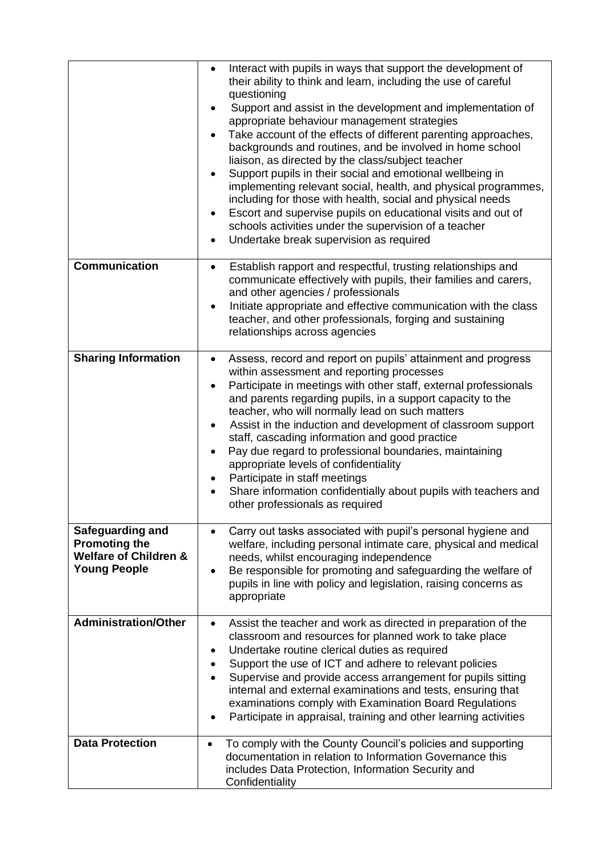|                                                                                                            | Interact with pupils in ways that support the development of<br>$\bullet$<br>their ability to think and learn, including the use of careful<br>questioning<br>Support and assist in the development and implementation of<br>appropriate behaviour management strategies<br>Take account of the effects of different parenting approaches,<br>backgrounds and routines, and be involved in home school<br>liaison, as directed by the class/subject teacher<br>Support pupils in their social and emotional wellbeing in<br>$\bullet$<br>implementing relevant social, health, and physical programmes,<br>including for those with health, social and physical needs<br>Escort and supervise pupils on educational visits and out of<br>schools activities under the supervision of a teacher<br>Undertake break supervision as required<br>٠ |
|------------------------------------------------------------------------------------------------------------|------------------------------------------------------------------------------------------------------------------------------------------------------------------------------------------------------------------------------------------------------------------------------------------------------------------------------------------------------------------------------------------------------------------------------------------------------------------------------------------------------------------------------------------------------------------------------------------------------------------------------------------------------------------------------------------------------------------------------------------------------------------------------------------------------------------------------------------------|
| <b>Communication</b>                                                                                       | Establish rapport and respectful, trusting relationships and<br>$\bullet$<br>communicate effectively with pupils, their families and carers,<br>and other agencies / professionals<br>Initiate appropriate and effective communication with the class<br>teacher, and other professionals, forging and sustaining<br>relationships across agencies                                                                                                                                                                                                                                                                                                                                                                                                                                                                                             |
| <b>Sharing Information</b>                                                                                 | Assess, record and report on pupils' attainment and progress<br>$\bullet$<br>within assessment and reporting processes<br>Participate in meetings with other staff, external professionals<br>and parents regarding pupils, in a support capacity to the<br>teacher, who will normally lead on such matters<br>Assist in the induction and development of classroom support<br>staff, cascading information and good practice<br>Pay due regard to professional boundaries, maintaining<br>appropriate levels of confidentiality<br>Participate in staff meetings<br>٠<br>Share information confidentially about pupils with teachers and<br>$\bullet$<br>other professionals as required                                                                                                                                                      |
| <b>Safeguarding and</b><br><b>Promoting the</b><br><b>Welfare of Children &amp;</b><br><b>Young People</b> | Carry out tasks associated with pupil's personal hygiene and<br>welfare, including personal intimate care, physical and medical<br>needs, whilst encouraging independence<br>Be responsible for promoting and safeguarding the welfare of<br>$\bullet$<br>pupils in line with policy and legislation, raising concerns as<br>appropriate                                                                                                                                                                                                                                                                                                                                                                                                                                                                                                       |
| <b>Administration/Other</b>                                                                                | Assist the teacher and work as directed in preparation of the<br>$\bullet$<br>classroom and resources for planned work to take place<br>Undertake routine clerical duties as required<br>Support the use of ICT and adhere to relevant policies<br>Supervise and provide access arrangement for pupils sitting<br>internal and external examinations and tests, ensuring that<br>examinations comply with Examination Board Regulations<br>Participate in appraisal, training and other learning activities                                                                                                                                                                                                                                                                                                                                    |
| <b>Data Protection</b>                                                                                     | To comply with the County Council's policies and supporting<br>documentation in relation to Information Governance this<br>includes Data Protection, Information Security and<br>Confidentiality                                                                                                                                                                                                                                                                                                                                                                                                                                                                                                                                                                                                                                               |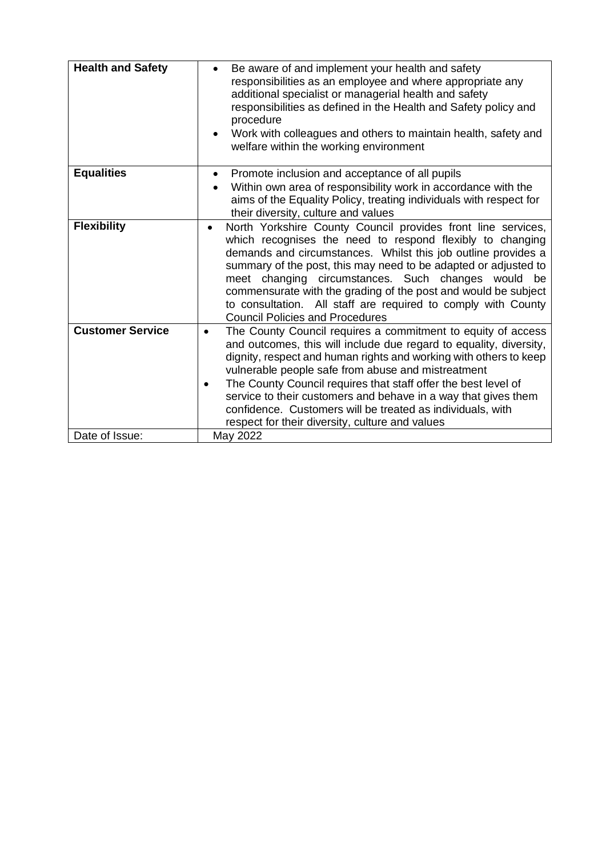| <b>Health and Safety</b> | Be aware of and implement your health and safety<br>responsibilities as an employee and where appropriate any<br>additional specialist or managerial health and safety<br>responsibilities as defined in the Health and Safety policy and<br>procedure<br>Work with colleagues and others to maintain health, safety and<br>welfare within the working environment                                                                                                                                                                           |
|--------------------------|----------------------------------------------------------------------------------------------------------------------------------------------------------------------------------------------------------------------------------------------------------------------------------------------------------------------------------------------------------------------------------------------------------------------------------------------------------------------------------------------------------------------------------------------|
|                          |                                                                                                                                                                                                                                                                                                                                                                                                                                                                                                                                              |
| <b>Equalities</b>        | Promote inclusion and acceptance of all pupils<br>$\bullet$<br>Within own area of responsibility work in accordance with the<br>aims of the Equality Policy, treating individuals with respect for<br>their diversity, culture and values                                                                                                                                                                                                                                                                                                    |
| <b>Flexibility</b>       | North Yorkshire County Council provides front line services,<br>$\bullet$<br>which recognises the need to respond flexibly to changing<br>demands and circumstances. Whilst this job outline provides a<br>summary of the post, this may need to be adapted or adjusted to<br>meet changing circumstances. Such changes would be<br>commensurate with the grading of the post and would be subject<br>to consultation. All staff are required to comply with County<br><b>Council Policies and Procedures</b>                                |
| <b>Customer Service</b>  | The County Council requires a commitment to equity of access<br>$\bullet$<br>and outcomes, this will include due regard to equality, diversity,<br>dignity, respect and human rights and working with others to keep<br>vulnerable people safe from abuse and mistreatment<br>The County Council requires that staff offer the best level of<br>$\bullet$<br>service to their customers and behave in a way that gives them<br>confidence. Customers will be treated as individuals, with<br>respect for their diversity, culture and values |
| Date of Issue:           | May 2022                                                                                                                                                                                                                                                                                                                                                                                                                                                                                                                                     |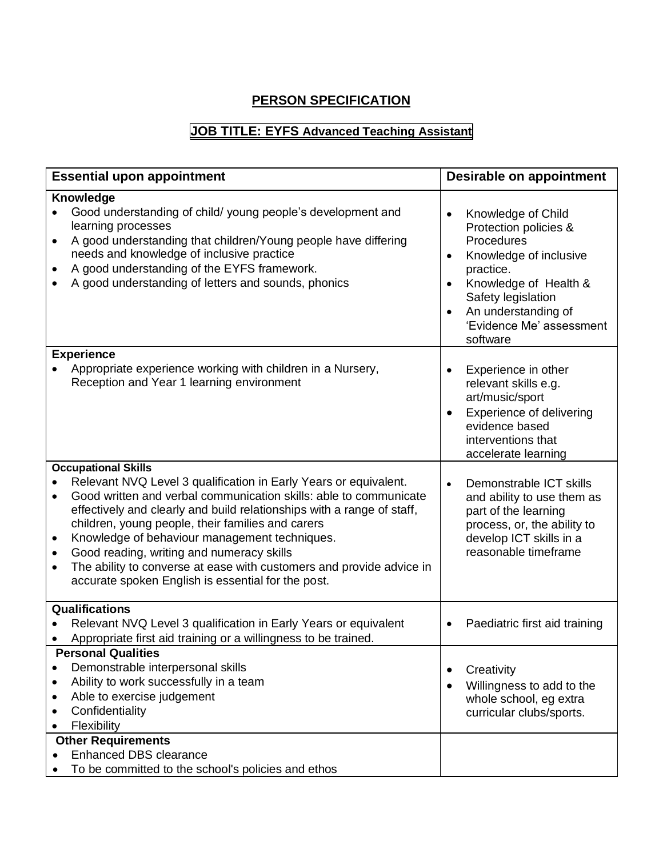## **PERSON SPECIFICATION**

## **JOB TITLE: EYFS Advanced Teaching Assistant**

| <b>Essential upon appointment</b>                                                                                                                                                                                                                                                                                                                                                                                                                                                                                                           | Desirable on appointment                                                                                                                                                                                                                              |
|---------------------------------------------------------------------------------------------------------------------------------------------------------------------------------------------------------------------------------------------------------------------------------------------------------------------------------------------------------------------------------------------------------------------------------------------------------------------------------------------------------------------------------------------|-------------------------------------------------------------------------------------------------------------------------------------------------------------------------------------------------------------------------------------------------------|
| Knowledge<br>Good understanding of child/ young people's development and<br>learning processes<br>A good understanding that children/Young people have differing<br>needs and knowledge of inclusive practice<br>A good understanding of the EYFS framework.<br>A good understanding of letters and sounds, phonics                                                                                                                                                                                                                         | Knowledge of Child<br>$\bullet$<br>Protection policies &<br>Procedures<br>Knowledge of inclusive<br>practice.<br>Knowledge of Health &<br>$\bullet$<br>Safety legislation<br>An understanding of<br>$\bullet$<br>'Evidence Me' assessment<br>software |
| <b>Experience</b><br>Appropriate experience working with children in a Nursery,<br>Reception and Year 1 learning environment                                                                                                                                                                                                                                                                                                                                                                                                                | Experience in other<br>$\bullet$<br>relevant skills e.g.<br>art/music/sport<br><b>Experience of delivering</b><br>$\bullet$<br>evidence based<br>interventions that<br>accelerate learning                                                            |
| <b>Occupational Skills</b><br>Relevant NVQ Level 3 qualification in Early Years or equivalent.<br>Good written and verbal communication skills: able to communicate<br>effectively and clearly and build relationships with a range of staff,<br>children, young people, their families and carers<br>Knowledge of behaviour management techniques.<br>$\bullet$<br>Good reading, writing and numeracy skills<br>The ability to converse at ease with customers and provide advice in<br>accurate spoken English is essential for the post. | Demonstrable ICT skills<br>$\bullet$<br>and ability to use them as<br>part of the learning<br>process, or, the ability to<br>develop ICT skills in a<br>reasonable timeframe                                                                          |
| <b>Qualifications</b><br>Relevant NVQ Level 3 qualification in Early Years or equivalent<br>Appropriate first aid training or a willingness to be trained.<br><b>Personal Qualities</b><br>Demonstrable interpersonal skills                                                                                                                                                                                                                                                                                                                | Paediatric first aid training<br>$\bullet$                                                                                                                                                                                                            |
| Ability to work successfully in a team<br>$\bullet$<br>Able to exercise judgement<br>Confidentiality<br>Flexibility<br>$\bullet$                                                                                                                                                                                                                                                                                                                                                                                                            | Creativity<br>$\bullet$<br>Willingness to add to the<br>$\bullet$<br>whole school, eg extra<br>curricular clubs/sports.                                                                                                                               |
| <b>Other Requirements</b><br><b>Enhanced DBS clearance</b><br>To be committed to the school's policies and ethos                                                                                                                                                                                                                                                                                                                                                                                                                            |                                                                                                                                                                                                                                                       |